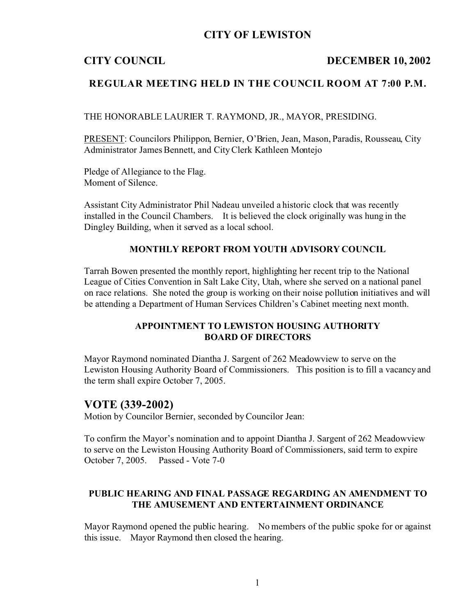## **CITY OF LEWISTON**

## **CITY COUNCIL DECEMBER 10, 2002**

## **REGULAR MEETING HELD IN THE COUNCIL ROOM AT 7:00 P.M.**

THE HONORABLE LAURIER T. RAYMOND, JR., MAYOR, PRESIDING.

PRESENT: Councilors Philippon, Bernier, O'Brien, Jean, Mason, Paradis, Rousseau, City Administrator James Bennett, and City Clerk Kathleen Montejo

Pledge of Allegiance to the Flag. Moment of Silence.

Assistant City Administrator Phil Nadeau unveiled a historic clock that was recently installed in the Council Chambers. It is believed the clock originally was hung in the Dingley Building, when it served as a local school.

### **MONTHLY REPORT FROM YOUTH ADVISORY COUNCIL**

Tarrah Bowen presented the monthly report, highlighting her recent trip to the National League of Cities Convention in Salt Lake City, Utah, where she served on a national panel on race relations. She noted the group is working on their noise pollution initiatives and will be attending a Department of Human Services Children's Cabinet meeting next month.

### **APPOINTMENT TO LEWISTON HOUSING AUTHORITY BOARD OF DIRECTORS**

Mayor Raymond nominated Diantha J. Sargent of 262 Meadowview to serve on the Lewiston Housing Authority Board of Commissioners. This position is to fill a vacancy and the term shall expire October 7, 2005.

## **VOTE (339-2002)**

Motion by Councilor Bernier, seconded by Councilor Jean:

To confirm the Mayor's nomination and to appoint Diantha J. Sargent of 262 Meadowview to serve on the Lewiston Housing Authority Board of Commissioners, said term to expire October 7, 2005. Passed - Vote 7-0

### **PUBLIC HEARING AND FINAL PASSAGE REGARDING AN AMENDMENT TO THE AMUSEMENT AND ENTERTAINMENT ORDINANCE**

Mayor Raymond opened the public hearing. No members of the public spoke for or against this issue. Mayor Raymond then closed the hearing.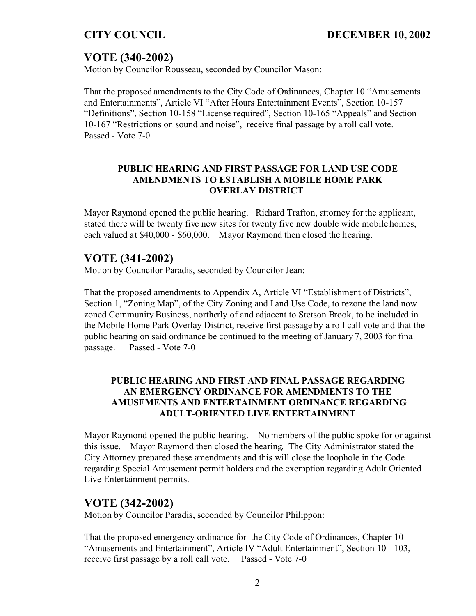# **VOTE (340-2002)**

Motion by Councilor Rousseau, seconded by Councilor Mason:

That the proposed amendments to the City Code of Ordinances, Chapter 10 "Amusements and Entertainments", Article VI "After Hours Entertainment Events", Section 10-157 "Definitions", Section 10-158 "License required", Section 10-165 "Appeals" and Section 10-167 "Restrictions on sound and noise", receive final passage by a roll call vote. Passed - Vote 7-0

### **PUBLIC HEARING AND FIRST PASSAGE FOR LAND USE CODE AMENDMENTS TO ESTABLISH A MOBILE HOME PARK OVERLAY DISTRICT**

Mayor Raymond opened the public hearing. Richard Trafton, attorney for the applicant, stated there will be twenty five new sites for twenty five new double wide mobile homes, each valued at \$40,000 - \$60,000. Mayor Raymond then closed the hearing.

## **VOTE (341-2002)**

Motion by Councilor Paradis, seconded by Councilor Jean:

That the proposed amendments to Appendix A, Article VI "Establishment of Districts", Section 1, "Zoning Map", of the City Zoning and Land Use Code, to rezone the land now zoned Community Business, northerly of and adjacent to Stetson Brook, to be included in the Mobile Home Park Overlay District, receive first passage by a roll call vote and that the public hearing on said ordinance be continued to the meeting of January 7, 2003 for final passage. Passed - Vote 7-0

## **PUBLIC HEARING AND FIRST AND FINAL PASSAGE REGARDING AN EMERGENCY ORDINANCE FOR AMENDMENTS TO THE AMUSEMENTS AND ENTERTAINMENT ORDINANCE REGARDING ADULT-ORIENTED LIVE ENTERTAINMENT**

Mayor Raymond opened the public hearing. No members of the public spoke for or against this issue. Mayor Raymond then closed the hearing. The City Administrator stated the City Attorney prepared these amendments and this will close the loophole in the Code regarding Special Amusement permit holders and the exemption regarding Adult Oriented Live Entertainment permits.

# **VOTE (342-2002)**

Motion by Councilor Paradis, seconded by Councilor Philippon:

That the proposed emergency ordinance for the City Code of Ordinances, Chapter 10 "Amusements and Entertainment", Article IV "Adult Entertainment", Section 10 - 103, receive first passage by a roll call vote. Passed - Vote 7-0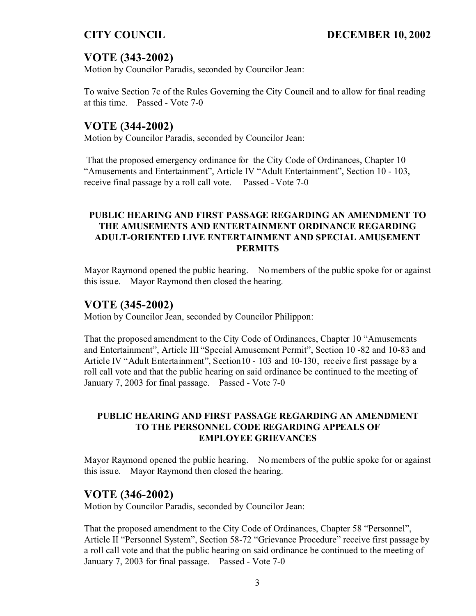# **VOTE (343-2002)**

Motion by Councilor Paradis, seconded by Councilor Jean:

To waive Section 7c of the Rules Governing the City Council and to allow for final reading at this time. Passed - Vote 7-0

# **VOTE (344-2002)**

Motion by Councilor Paradis, seconded by Councilor Jean:

That the proposed emergency ordinance for the City Code of Ordinances, Chapter 10 "Amusements and Entertainment", Article IV "Adult Entertainment", Section 10 - 103, receive final passage by a roll call vote. Passed - Vote 7-0

## **PUBLIC HEARING AND FIRST PASSAGE REGARDING AN AMENDMENT TO THE AMUSEMENTS AND ENTERTAINMENT ORDINANCE REGARDING ADULT-ORIENTED LIVE ENTERTAINMENT AND SPECIAL AMUSEMENT PERMITS**

Mayor Raymond opened the public hearing. No members of the public spoke for or against this issue. Mayor Raymond then closed the hearing.

# **VOTE (345-2002)**

Motion by Councilor Jean, seconded by Councilor Philippon:

That the proposed amendment to the City Code of Ordinances, Chapter 10 "Amusements and Entertainment", Article III "Special Amusement Permit", Section 10 -82 and 10-83 and Article IV "Adult Entertainment", Section10 - 103 and 10-130, receive first passage by a roll call vote and that the public hearing on said ordinance be continued to the meeting of January 7, 2003 for final passage. Passed - Vote 7-0

## **PUBLIC HEARING AND FIRST PASSAGE REGARDING AN AMENDMENT TO THE PERSONNEL CODE REGARDING APPEALS OF EMPLOYEE GRIEVANCES**

Mayor Raymond opened the public hearing. No members of the public spoke for or against this issue. Mayor Raymond then closed the hearing.

# **VOTE (346-2002)**

Motion by Councilor Paradis, seconded by Councilor Jean:

That the proposed amendment to the City Code of Ordinances, Chapter 58 "Personnel", Article II "Personnel System", Section 58-72 "Grievance Procedure" receive first passage by a roll call vote and that the public hearing on said ordinance be continued to the meeting of January 7, 2003 for final passage. Passed - Vote 7-0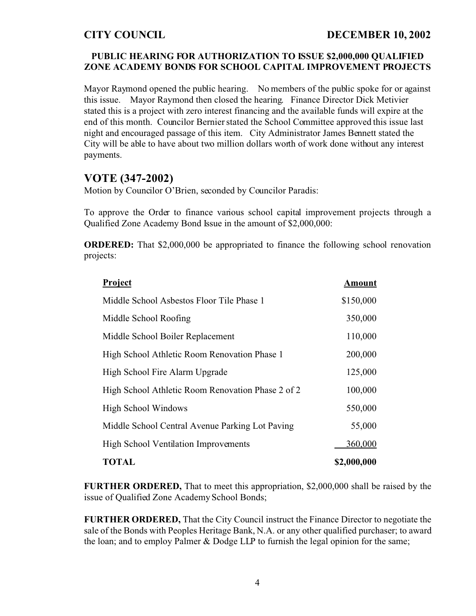## **PUBLIC HEARING FOR AUTHORIZATION TO ISSUE \$2,000,000 QUALIFIED ZONE ACADEMY BONDS FOR SCHOOL CAPITAL IMPROVEMENT PROJECTS**

Mayor Raymond opened the public hearing. No members of the public spoke for or against this issue. Mayor Raymond then closed the hearing. Finance Director Dick Metivier stated this is a project with zero interest financing and the available funds will expire at the end of this month. Councilor Bernier stated the School Committee approved this issue last night and encouraged passage of this item. City Administrator James Bennett stated the City will be able to have about two million dollars worth of work done without any interest payments.

# **VOTE (347-2002)**

Motion by Councilor O'Brien, seconded by Councilor Paradis:

To approve the Order to finance various school capital improvement projects through a Qualified Zone Academy Bond Issue in the amount of \$2,000,000:

**ORDERED:** That \$2,000,000 be appropriated to finance the following school renovation projects:

| Project                                           | Amount      |
|---------------------------------------------------|-------------|
| Middle School Asbestos Floor Tile Phase 1         | \$150,000   |
| Middle School Roofing                             | 350,000     |
| Middle School Boiler Replacement                  | 110,000     |
| High School Athletic Room Renovation Phase 1      | 200,000     |
| High School Fire Alarm Upgrade                    | 125,000     |
| High School Athletic Room Renovation Phase 2 of 2 | 100,000     |
| <b>High School Windows</b>                        | 550,000     |
| Middle School Central Avenue Parking Lot Paving   | 55,000      |
| High School Ventilation Improvements              | 360,000     |
| <b>TOTAL</b>                                      | \$2,000,000 |

**FURTHER ORDERED,** That to meet this appropriation, \$2,000,000 shall be raised by the issue of Qualified Zone Academy School Bonds;

**FURTHER ORDERED,** That the City Council instruct the Finance Director to negotiate the sale of the Bonds with Peoples Heritage Bank, N.A. or any other qualified purchaser; to award the loan; and to employ Palmer & Dodge LLP to furnish the legal opinion for the same;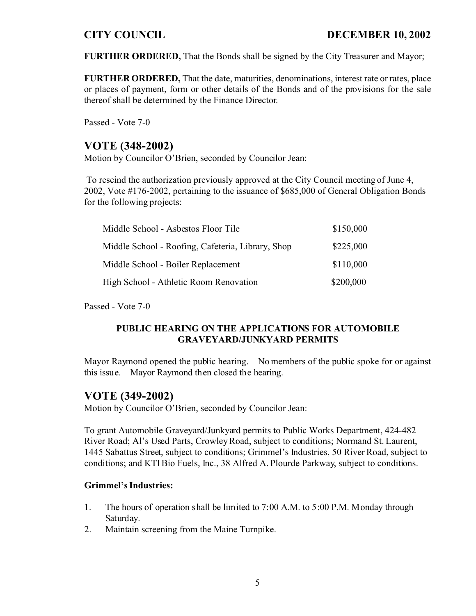**FURTHER ORDERED,** That the Bonds shall be signed by the City Treasurer and Mayor;

**FURTHER ORDERED,** That the date, maturities, denominations, interest rate or rates, place or places of payment, form or other details of the Bonds and of the provisions for the sale thereof shall be determined by the Finance Director.

Passed - Vote 7-0

# **VOTE (348-2002)**

Motion by Councilor O'Brien, seconded by Councilor Jean:

 To rescind the authorization previously approved at the City Council meeting of June 4, 2002, Vote #176-2002, pertaining to the issuance of \$685,000 of General Obligation Bonds for the following projects:

| Middle School - Asbestos Floor Tile               | \$150,000 |
|---------------------------------------------------|-----------|
| Middle School - Roofing, Cafeteria, Library, Shop | \$225,000 |
| Middle School - Boiler Replacement                | \$110,000 |
| High School - Athletic Room Renovation            | \$200,000 |

Passed - Vote 7-0

## **PUBLIC HEARING ON THE APPLICATIONS FOR AUTOMOBILE GRAVEYARD/JUNKYARD PERMITS**

Mayor Raymond opened the public hearing. No members of the public spoke for or against this issue. Mayor Raymond then closed the hearing.

# **VOTE (349-2002)**

Motion by Councilor O'Brien, seconded by Councilor Jean:

To grant Automobile Graveyard/Junkyard permits to Public Works Department, 424-482 River Road; Al's Used Parts, Crowley Road, subject to conditions; Normand St. Laurent, 1445 Sabattus Street, subject to conditions; Grimmel's Industries, 50 River Road, subject to conditions; and KTI Bio Fuels, Inc., 38 Alfred A. Plourde Parkway, subject to conditions.

## **Grimmel's Industries:**

- 1. The hours of operation shall be limited to 7:00 A.M. to 5:00 P.M. Monday through Saturday.
- 2. Maintain screening from the Maine Turnpike.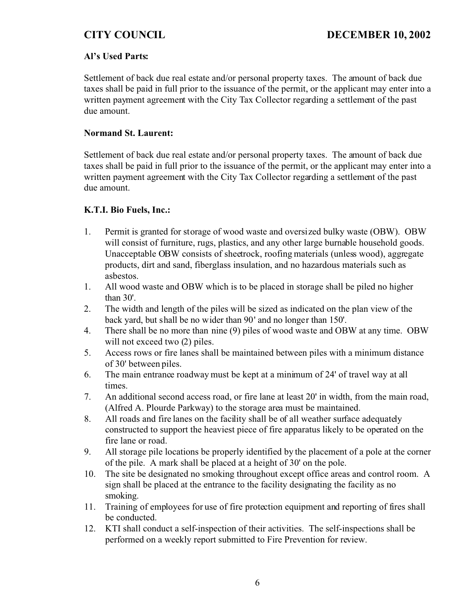## **Al's Used Parts:**

Settlement of back due real estate and/or personal property taxes. The amount of back due taxes shall be paid in full prior to the issuance of the permit, or the applicant may enter into a written payment agreement with the City Tax Collector regarding a settlement of the past due amount.

### **Normand St. Laurent:**

Settlement of back due real estate and/or personal property taxes. The amount of back due taxes shall be paid in full prior to the issuance of the permit, or the applicant may enter into a written payment agreement with the City Tax Collector regarding a settlement of the past due amount.

## **K.T.I. Bio Fuels, Inc.:**

- 1. Permit is granted for storage of wood waste and oversized bulky waste (OBW). OBW will consist of furniture, rugs, plastics, and any other large burnable household goods. Unacceptable OBW consists of sheetrock, roofing materials (unless wood), aggregate products, dirt and sand, fiberglass insulation, and no hazardous materials such as asbestos.
- 1. All wood waste and OBW which is to be placed in storage shall be piled no higher than 30'.
- 2. The width and length of the piles will be sized as indicated on the plan view of the back yard, but shall be no wider than 90' and no longer than 150'.
- 4. There shall be no more than nine (9) piles of wood waste and OBW at any time. OBW will not exceed two  $(2)$  piles.
- 5. Access rows or fire lanes shall be maintained between piles with a minimum distance of 30' between piles.
- 6. The main entrance roadway must be kept at a minimum of 24' of travel way at all times.
- 7. An additional second access road, or fire lane at least 20' in width, from the main road, (Alfred A. Plourde Parkway) to the storage area must be maintained.
- 8. All roads and fire lanes on the facility shall be of all weather surface adequately constructed to support the heaviest piece of fire apparatus likely to be operated on the fire lane or road.
- 9. All storage pile locations be properly identified by the placement of a pole at the corner of the pile. A mark shall be placed at a height of 30' on the pole.
- 10. The site be designated no smoking throughout except office areas and control room. A sign shall be placed at the entrance to the facility designating the facility as no smoking.
- 11. Training of employees for use of fire protection equipment and reporting of fires shall be conducted.
- 12. KTI shall conduct a self-inspection of their activities. The self-inspections shall be performed on a weekly report submitted to Fire Prevention for review.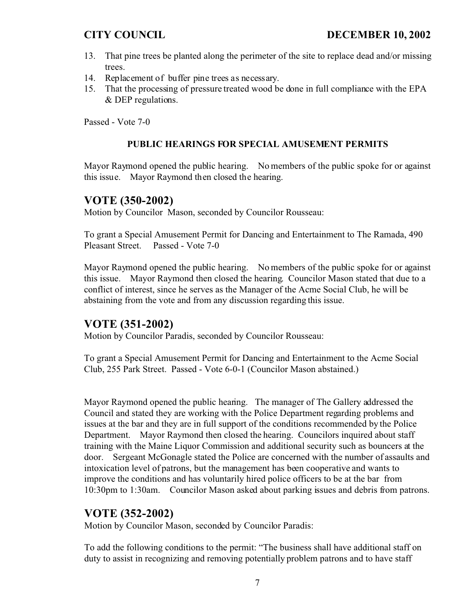- 13. That pine trees be planted along the perimeter of the site to replace dead and/or missing trees.
- 14. Replacement of buffer pine trees as necessary.
- 15. That the processing of pressure treated wood be done in full compliance with the EPA & DEP regulations.

Passed - Vote 7-0

## **PUBLIC HEARINGS FOR SPECIAL AMUSEMENT PERMITS**

Mayor Raymond opened the public hearing. No members of the public spoke for or against this issue. Mayor Raymond then closed the hearing.

# **VOTE (350-2002)**

Motion by Councilor Mason, seconded by Councilor Rousseau:

To grant a Special Amusement Permit for Dancing and Entertainment to The Ramada, 490 Pleasant Street. Passed - Vote 7-0

Mayor Raymond opened the public hearing. No members of the public spoke for or against this issue. Mayor Raymond then closed the hearing. Councilor Mason stated that due to a conflict of interest, since he serves as the Manager of the Acme Social Club, he will be abstaining from the vote and from any discussion regarding this issue.

# **VOTE (351-2002)**

Motion by Councilor Paradis, seconded by Councilor Rousseau:

To grant a Special Amusement Permit for Dancing and Entertainment to the Acme Social Club, 255 Park Street. Passed - Vote 6-0-1 (Councilor Mason abstained.)

Mayor Raymond opened the public hearing. The manager of The Gallery addressed the Council and stated they are working with the Police Department regarding problems and issues at the bar and they are in full support of the conditions recommended by the Police Department. Mayor Raymond then closed the hearing. Councilors inquired about staff training with the Maine Liquor Commission and additional security such as bouncers at the door. Sergeant McGonagle stated the Police are concerned with the number of assaults and intoxication level of patrons, but the management has been cooperative and wants to improve the conditions and has voluntarily hired police officers to be at the bar from 10:30pm to 1:30am. Councilor Mason asked about parking issues and debris from patrons.

## **VOTE (352-2002)**

Motion by Councilor Mason, seconded by Councilor Paradis:

To add the following conditions to the permit: "The business shall have additional staff on duty to assist in recognizing and removing potentially problem patrons and to have staff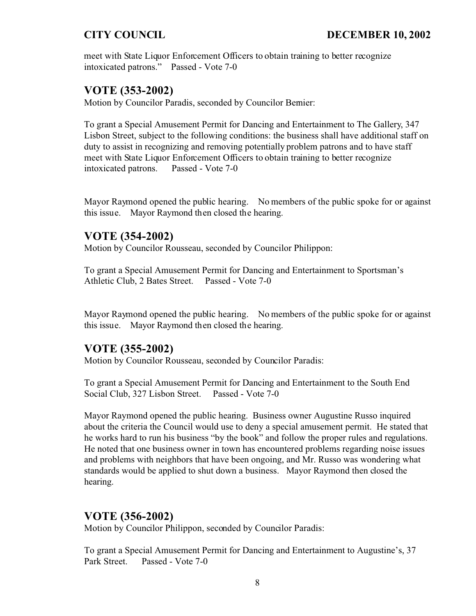meet with State Liquor Enforcement Officers to obtain training to better recognize intoxicated patrons." Passed - Vote 7-0

# **VOTE (353-2002)**

Motion by Councilor Paradis, seconded by Councilor Bernier:

To grant a Special Amusement Permit for Dancing and Entertainment to The Gallery, 347 Lisbon Street, subject to the following conditions: the business shall have additional staff on duty to assist in recognizing and removing potentially problem patrons and to have staff meet with State Liquor Enforcement Officers to obtain training to better recognize intoxicated patrons. Passed - Vote 7-0

Mayor Raymond opened the public hearing. No members of the public spoke for or against this issue. Mayor Raymond then closed the hearing.

# **VOTE (354-2002)**

Motion by Councilor Rousseau, seconded by Councilor Philippon:

To grant a Special Amusement Permit for Dancing and Entertainment to Sportsman's Athletic Club, 2 Bates Street. Passed - Vote 7-0

Mayor Raymond opened the public hearing. No members of the public spoke for or against this issue. Mayor Raymond then closed the hearing.

# **VOTE (355-2002)**

Motion by Councilor Rousseau, seconded by Councilor Paradis:

To grant a Special Amusement Permit for Dancing and Entertainment to the South End Social Club, 327 Lisbon Street. Passed - Vote 7-0

Mayor Raymond opened the public hearing. Business owner Augustine Russo inquired about the criteria the Council would use to deny a special amusement permit. He stated that he works hard to run his business "by the book" and follow the proper rules and regulations. He noted that one business owner in town has encountered problems regarding noise issues and problems with neighbors that have been ongoing, and Mr. Russo was wondering what standards would be applied to shut down a business. Mayor Raymond then closed the hearing.

# **VOTE (356-2002)**

Motion by Councilor Philippon, seconded by Councilor Paradis:

To grant a Special Amusement Permit for Dancing and Entertainment to Augustine's, 37 Park Street. Passed - Vote 7-0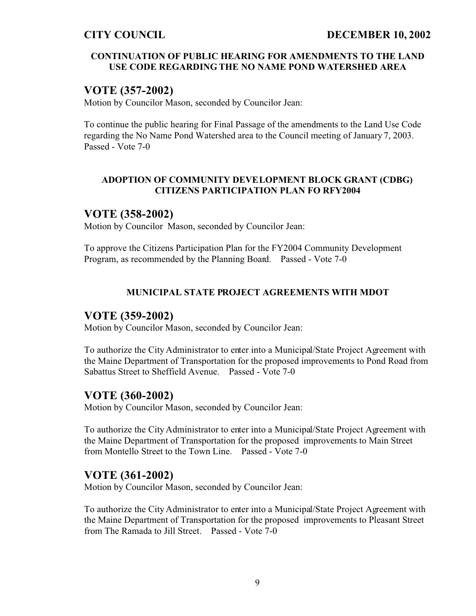## **CONTINUATION OF PUBLIC HEARING FOR AMENDMENTS TO THE LAND USE CODE REGARDING THE NO NAME POND WATERSHED AREA**

# **VOTE (357-2002)**

Motion by Councilor Mason, seconded by Councilor Jean:

To continue the public hearing for Final Passage of the amendments to the Land Use Code regarding the No Name Pond Watershed area to the Council meeting of January 7, 2003. Passed - Vote 7-0

## **ADOPTION OF COMMUNITY DEVELOPMENT BLOCK GRANT (CDBG) CITIZENS PARTICIPATION PLAN FO RFY2004**

# **VOTE (358-2002)**

Motion by Councilor Mason, seconded by Councilor Jean:

To approve the Citizens Participation Plan for the FY2004 Community Development Program, as recommended by the Planning Board. Passed - Vote 7-0

## **MUNICIPAL STATE PROJECT AGREEMENTS WITH MDOT**

# **VOTE (359-2002)**

Motion by Councilor Mason, seconded by Councilor Jean:

To authorize the City Administrator to enter into a Municipal/State Project Agreement with the Maine Department of Transportation for the proposed improvements to Pond Road from Sabattus Street to Sheffield Avenue. Passed - Vote 7-0

# **VOTE (360-2002)**

Motion by Councilor Mason, seconded by Councilor Jean:

To authorize the City Administrator to enter into a Municipal/State Project Agreement with the Maine Department of Transportation for the proposed improvements to Main Street from Montello Street to the Town Line. Passed - Vote 7-0

# **VOTE (361-2002)**

Motion by Councilor Mason, seconded by Councilor Jean:

To authorize the City Administrator to enter into a Municipal/State Project Agreement with the Maine Department of Transportation for the proposed improvements to Pleasant Street from The Ramada to Jill Street. Passed - Vote 7-0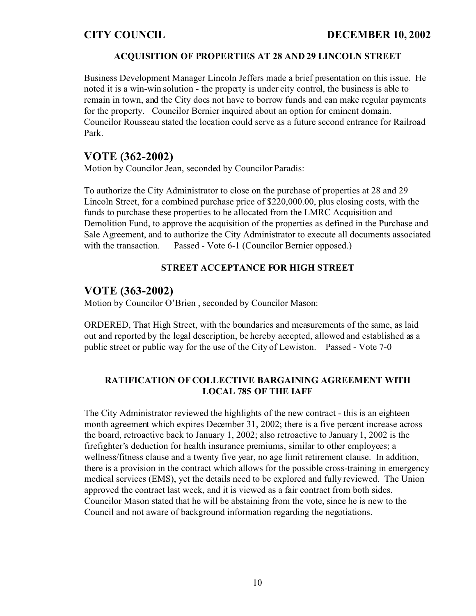## **ACQUISITION OF PROPERTIES AT 28 AND 29 LINCOLN STREET**

Business Development Manager Lincoln Jeffers made a brief presentation on this issue. He noted it is a win-win solution - the property is under city control, the business is able to remain in town, and the City does not have to borrow funds and can make regular payments for the property. Councilor Bernier inquired about an option for eminent domain. Councilor Rousseau stated the location could serve as a future second entrance for Railroad Park.

# **VOTE (362-2002)**

Motion by Councilor Jean, seconded by Councilor Paradis:

To authorize the City Administrator to close on the purchase of properties at 28 and 29 Lincoln Street, for a combined purchase price of \$220,000.00, plus closing costs, with the funds to purchase these properties to be allocated from the LMRC Acquisition and Demolition Fund, to approve the acquisition of the properties as defined in the Purchase and Sale Agreement, and to authorize the City Administrator to execute all documents associated with the transaction. Passed - Vote 6-1 (Councilor Bernier opposed.)

## **STREET ACCEPTANCE FOR HIGH STREET**

## **VOTE (363-2002)**

Motion by Councilor O'Brien , seconded by Councilor Mason:

ORDERED, That High Street, with the boundaries and measurements of the same, as laid out and reported by the legal description, be hereby accepted, allowed and established as a public street or public way for the use of the City of Lewiston. Passed - Vote 7-0

## **RATIFICATION OF COLLECTIVE BARGAINING AGREEMENT WITH LOCAL 785 OF THE IAFF**

The City Administrator reviewed the highlights of the new contract - this is an eighteen month agreement which expires December 31, 2002; there is a five percent increase across the board, retroactive back to January 1, 2002; also retroactive to January 1, 2002 is the firefighter's deduction for health insurance premiums, similar to other employees; a wellness/fitness clause and a twenty five year, no age limit retirement clause. In addition, there is a provision in the contract which allows for the possible cross-training in emergency medical services (EMS), yet the details need to be explored and fully reviewed. The Union approved the contract last week, and it is viewed as a fair contract from both sides. Councilor Mason stated that he will be abstaining from the vote, since he is new to the Council and not aware of background information regarding the negotiations.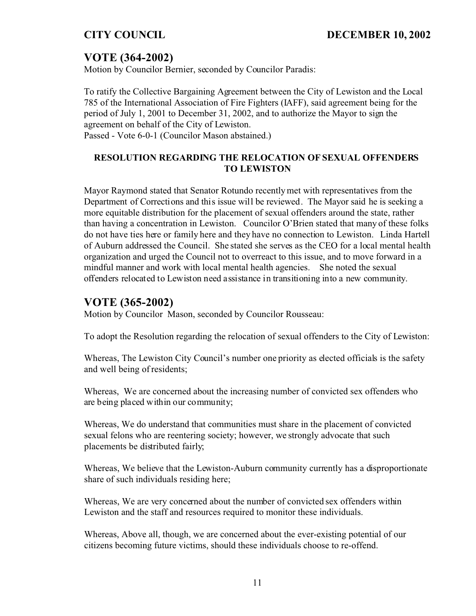# **VOTE (364-2002)**

Motion by Councilor Bernier, seconded by Councilor Paradis:

To ratify the Collective Bargaining Agreement between the City of Lewiston and the Local 785 of the International Association of Fire Fighters (IAFF), said agreement being for the period of July 1, 2001 to December 31, 2002, and to authorize the Mayor to sign the agreement on behalf of the City of Lewiston. Passed - Vote 6-0-1 (Councilor Mason abstained.)

## **RESOLUTION REGARDING THE RELOCATION OF SEXUAL OFFENDERS TO LEWISTON**

Mayor Raymond stated that Senator Rotundo recently met with representatives from the Department of Corrections and this issue will be reviewed. The Mayor said he is seeking a more equitable distribution for the placement of sexual offenders around the state, rather than having a concentration in Lewiston. Councilor O'Brien stated that many of these folks do not have ties here or family here and they have no connection to Lewiston. Linda Hartell of Auburn addressed the Council. She stated she serves as the CEO for a local mental health organization and urged the Council not to overreact to this issue, and to move forward in a mindful manner and work with local mental health agencies. She noted the sexual offenders relocated to Lewiston need assistance in transitioning into a new community.

# **VOTE (365-2002)**

Motion by Councilor Mason, seconded by Councilor Rousseau:

To adopt the Resolution regarding the relocation of sexual offenders to the City of Lewiston:

Whereas, The Lewiston City Council's number one priority as elected officials is the safety and well being of residents;

Whereas, We are concerned about the increasing number of convicted sex offenders who are being placed within our community;

Whereas, We do understand that communities must share in the placement of convicted sexual felons who are reentering society; however, we strongly advocate that such placements be distributed fairly;

Whereas, We believe that the Lewiston-Auburn community currently has a disproportionate share of such individuals residing here;

Whereas, We are very concerned about the number of convicted sex offenders within Lewiston and the staff and resources required to monitor these individuals.

Whereas, Above all, though, we are concerned about the ever-existing potential of our citizens becoming future victims, should these individuals choose to re-offend.